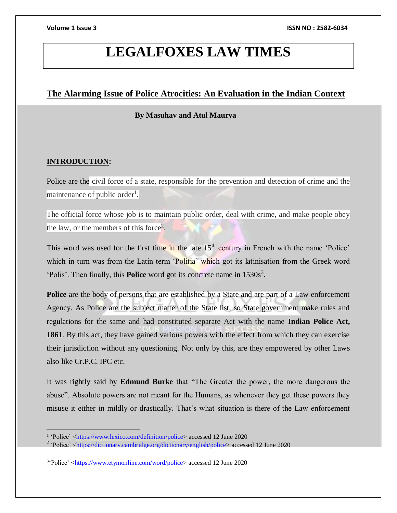# **LEGALFOXES LAW TIMES**

# **The Alarming Issue of Police Atrocities: An Evaluation in the Indian Context**

### **By Masuhav and Atul Maurya**

## **INTRODUCTION:**

Police are the civil force of a state, responsible for the prevention and detection of crime and the maintenance of public order<sup>1</sup>.

The official force whose job is to maintain public order, deal with crime, and make people obey the law, or the members of this force<sup>2</sup>.

This word was used for the first time in the late 15<sup>th</sup> century in French with the name 'Police' which in turn was from the Latin term 'Politia' which got its latinisation from the Greek word 'Polis'. Then finally, this **Police** word got its concrete name in 1530s<sup>3</sup>.

**Police** are the body of persons that are established by a State and are part of a Law enforcement Agency. As Police are the subject matter of the State list, so State government make rules and regulations for the same and had constituted separate Act with the name **Indian Police Act, 1861**. By this act, they have gained various powers with the effect from which they can exercise their jurisdiction without any questioning. Not only by this, are they empowered by other Laws also like Cr.P.C. IPC etc.

It was rightly said by **Edmund Burke** that "The Greater the power, the more dangerous the abuse". Absolute powers are not meant for the Humans, as whenever they get these powers they misuse it either in mildly or drastically. That's what situation is there of the Law enforcement

<sup>&</sup>lt;sup>1</sup> 'Police' [<https://www.lexico.com/definition/police>](https://www.lexico.com/definition/police) accessed 12 June 2020

<sup>&</sup>lt;sup>2</sup> 'Police' [<https://dictionary.cambridge.org/dictionary/english/police>](https://dictionary.cambridge.org/dictionary/english/police) accessed 12 June 2020

<sup>&</sup>lt;sup>3</sup>Police' [<https://www.etymonline.com/word/police>](https://www.etymonline.com/word/police) accessed 12 June 2020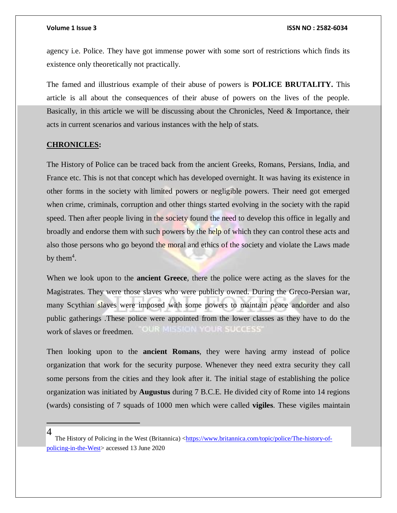agency i.e. Police. They have got immense power with some sort of restrictions which finds its existence only theoretically not practically.

The famed and illustrious example of their abuse of powers is **POLICE BRUTALITY.** This article is all about the consequences of their abuse of powers on the lives of the people. Basically, in this article we will be discussing about the Chronicles, Need & Importance, their acts in current scenarios and various instances with the help of stats.

#### **CHRONICLES:**

The History of Police can be traced back from the ancient Greeks, Romans, Persians, India, and France etc. This is not that concept which has developed overnight. It was having its existence in other forms in the society with limited powers or negligible powers. Their need got emerged when crime, criminals, corruption and other things started evolving in the society with the rapid speed. Then after people living in the society found the need to develop this office in legally and broadly and endorse them with such powers by the help of which they can control these acts and also those persons who go beyond the moral and ethics of the society and violate the Laws made by the $m<sup>4</sup>$ .

When we look upon to the **ancient Greece**, there the police were acting as the slaves for the Magistrates. They were those slaves who were publicly owned. During the Greco-Persian war, many Scythian slaves were imposed with some powers to maintain peace andorder and also public gatherings .These police were appointed from the lower classes as they have to do the **LIST SEE OF BESSIE** work of slaves or freedmen.

Then looking upon to the **ancient Romans**, they were having army instead of police organization that work for the security purpose. Whenever they need extra security they call some persons from the cities and they look after it. The initial stage of establishing the police organization was initiated by **Augustus** during 7 B.C.E. He divided city of Rome into 14 regions (wards) consisting of 7 squads of 1000 men which were called **vigiles**. These vigiles maintain

 $\overline{a}$ 4

The History of Policing in the West (Britannica) [<https://www.britannica.com/topic/police/The-history-of](https://www.britannica.com/topic/police/The-history-of-policing-in-the-West)[policing-in-the-West>](https://www.britannica.com/topic/police/The-history-of-policing-in-the-West) accessed 13 June 2020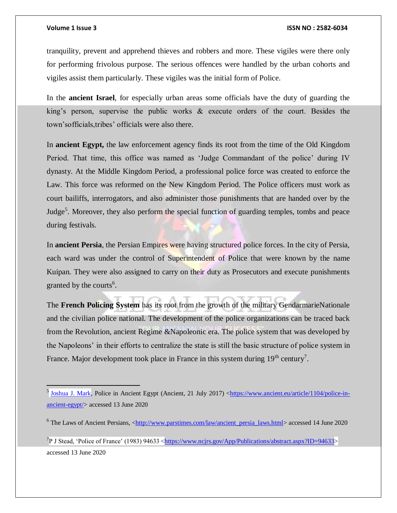$\overline{a}$ 

#### **Volume 1 Issue 3 ISSN NO : 2582-6034**

tranquility, prevent and apprehend thieves and robbers and more. These vigiles were there only for performing frivolous purpose. The serious offences were handled by the urban cohorts and vigiles assist them particularly. These vigiles was the initial form of Police.

In the **ancient Israel**, for especially urban areas some officials have the duty of guarding the king's person, supervise the public works & execute orders of the court. Besides the town'sofficials,tribes' officials were also there.

In **ancient Egypt,** the law enforcement agency finds its root from the time of the Old Kingdom Period. That time, this office was named as 'Judge Commandant of the police' during IV dynasty. At the Middle Kingdom Period, a professional police force was created to enforce the Law. This force was reformed on the New Kingdom Period. The Police officers must work as court bailiffs, interrogators, and also administer those punishments that are handed over by the Judge<sup>5</sup>. Moreover, they also perform the special function of guarding temples, tombs and peace during festivals.

In **ancient Persia**, the Persian Empires were having structured police forces. In the city of Persia, each ward was under the control of Superintendent of Police that were known by the name Kuipan. They were also assigned to carry on their duty as Prosecutors and execute punishments granted by the courts<sup>6</sup>.

The **French Policing System** has its root from the growth of the military GendarmarieNationale and the civilian police national. The development of the police organizations can be traced back from the Revolution, ancient Regime &Napoleonic era. The police system that was developed by the Napoleons' in their efforts to centralize the state is still the basic structure of police system in France. Major development took place in France in this system during  $19<sup>th</sup>$  century<sup>7</sup>.

<sup>7</sup>P J Stead, 'Police of France' (1983) 94633 < $\frac{https://www.ncjrs.gov/App/Publications/abstract.aspx?ID=94633>$ accessed 13 June 2020

<sup>&</sup>lt;sup>5</sup> [Joshua J. Mark,](https://www.ancient.eu/user/JPryst/) Police in Ancient Egypt (Ancient, 21 July 2017) [<https://www.ancient.eu/article/1104/police-in](https://www.ancient.eu/article/1104/police-in-ancient-egypt/)[ancient-egypt/>](https://www.ancient.eu/article/1104/police-in-ancient-egypt/) accessed 13 June 2020

<sup>6</sup> The Laws of Ancient Persians, [<http://www.parstimes.com/law/ancient\\_persia\\_laws.html>](http://www.parstimes.com/law/ancient_persia_laws.html) accessed 14 June 2020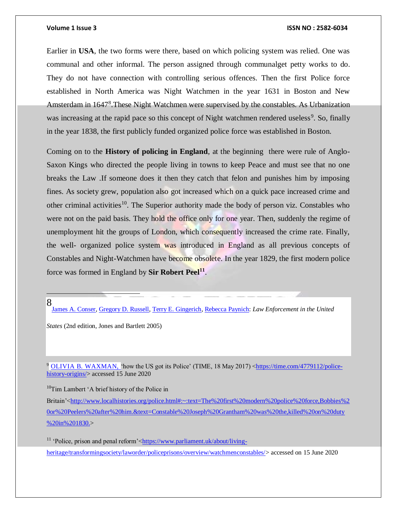Earlier in **USA**, the two forms were there, based on which policing system was relied. One was communal and other informal. The person assigned through communalget petty works to do. They do not have connection with controlling serious offences. Then the first Police force established in North America was Night Watchmen in the year 1631 in Boston and New Amsterdam in 1647<sup>8</sup>. These Night Watchmen were supervised by the constables. As Urbanization was increasing at the rapid pace so this concept of Night watchmen rendered useless<sup>9</sup>. So, finally in the year 1838, the first publicly funded organized police force was established in Boston.

Coming on to the **History of policing in England**, at the beginning there were rule of Anglo-Saxon Kings who directed the people living in towns to keep Peace and must see that no one breaks the Law .If someone does it then they catch that felon and punishes him by imposing fines. As society grew, population also got increased which on a quick pace increased crime and other criminal activities<sup>10</sup>. The Superior authority made the body of person viz. Constables who were not on the paid basis. They hold the office only for one year. Then, suddenly the regime of unemployment hit the groups of London, which consequently increased the crime rate. Finally, the well- organized police system was introduced in England as all previous concepts of Constables and Night-Watchmen have become obsolete. In the year 1829, the first modern police force was formed in England by **Sir Robert Peel<sup>11</sup>** .

### 8

[James A. Conser,](https://www.google.co.in/search?tbo=p&tbm=bks&q=inauthor:%22James+A.+Conser%22) [Gregory D. Russell,](https://www.google.co.in/search?tbo=p&tbm=bks&q=inauthor:%22Gregory+D.+Russell%22) [Terry E. Gingerich,](https://www.google.co.in/search?tbo=p&tbm=bks&q=inauthor:%22Terry+E.+Gingerich%22) [Rebecca Paynich:](https://www.google.co.in/search?tbo=p&tbm=bks&q=inauthor:%22Rebecca+Paynich%22) *Law Enforcement in the United* 

*States* (2nd edition, Jones and Bartlett 2005)

<sup>9</sup> [OLIVIA B. WAXMAN,](https://time.com/author/olivia-b-waxman/) 'how the US got its Police' (TIME, 18 May 2017) [<https://time.com/4779112/police](https://time.com/4779112/police-history-origins/)[history-origins/>](https://time.com/4779112/police-history-origins/) accessed 15 June 2020

 $10$ Tim Lambert 'A brief history of the Police in

Britain'[<http://www.localhistories.org/police.html#:~:text=The%20first%20modern%20police%20force,Bobbies%2](http://www.localhistories.org/police.html#:~:text=The%20first%20modern%20police%20force,Bobbies%20or%20Peelers%20after%20him.&text=Constable%20Joseph%20Grantham%20was%20the,killed%20on%20duty%20in%201830.) [0or%20Peelers%20after%20him.&text=Constable%20Joseph%20Grantham%20was%20the,killed%20on%20duty](http://www.localhistories.org/police.html#:~:text=The%20first%20modern%20police%20force,Bobbies%20or%20Peelers%20after%20him.&text=Constable%20Joseph%20Grantham%20was%20the,killed%20on%20duty%20in%201830.) [%20in%201830.>](http://www.localhistories.org/police.html#:~:text=The%20first%20modern%20police%20force,Bobbies%20or%20Peelers%20after%20him.&text=Constable%20Joseph%20Grantham%20was%20the,killed%20on%20duty%20in%201830.)

<sup>11</sup> 'Police, prison and penal reform'[<https://www.parliament.uk/about/living](https://www.parliament.uk/about/living-heritage/transformingsociety/laworder/policeprisons/overview/watchmenconstables/)[heritage/transformingsociety/laworder/policeprisons/overview/watchmenconstables/>](https://www.parliament.uk/about/living-heritage/transformingsociety/laworder/policeprisons/overview/watchmenconstables/) accessed on 15 June 2020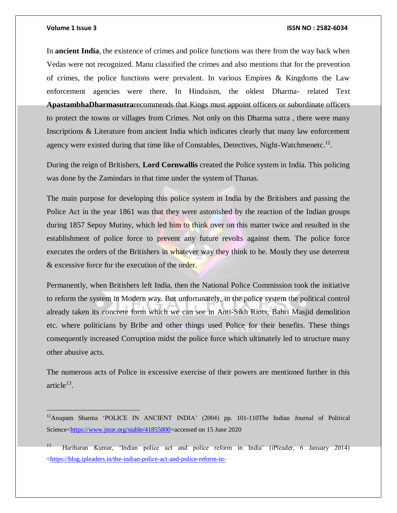#### **Volume 1 Issue 3 ISSN NO : 2582-6034**

In **ancient India**, the existence of crimes and police functions was there from the way back when Vedas were not recognized. Manu classified the crimes and also mentions that for the prevention of crimes, the police functions were prevalent. In various Empires & Kingdoms the Law enforcement agencies were there. In Hinduism, the oldest Dharma- related Text **ApastambhaDharmasutra**recommends that Kings must appoint officers or subordinate officers to protect the towns or villages from Crimes. Not only on this Dharma sutra , there were many Inscriptions & Literature from ancient India which indicates clearly that many law enforcement agency were existed during that time like of Constables, Detectives, Night-Watchmenetc.<sup>12</sup>.

During the reign of Britishers, **Lord Cornwallis** created the Police system in India. This policing was done by the Zamindars in that time under the system of Thanas.

The main purpose for developing this police system in India by the Britishers and passing the Police Act in the year 1861 was that they were astonished by the reaction of the Indian groups during 1857 Sepoy Mutiny, which led him to think over on this matter twice and resulted in the establishment of police force to prevent any future revolts against them. The police force executes the orders of the Britishers in whatever way they think to be. Mostly they use deterrent & excessive force for the execution of the order.

Permanently, when Britishers left India, then the National Police Commission took the initiative to reform the system in Modern way. But unfortunately, in the police system the political control already taken its concrete form which we can see in Anti-Sikh Riots, Babri Masjid demolition etc. where politicians by Bribe and other things used Police for their benefits. These things consequently increased Corruption midst the police force which ultimately led to structure many other abusive acts.

The numerous acts of Police in excessive exercise of their powers are mentioned further in this article $^{13}$ .

<sup>&</sup>lt;sup>12</sup>Anupam Sharma 'POLICE IN ANCIENT INDIA' (2004) pp. 101-110The Indian Journal of Political Science[<https://www.jstor.org/stable/41855800>](https://www.jstor.org/stable/41855800)accessed on 15 June 2020

<sup>13</sup> Hariharan Kumar, 'Indian police act and police reform in India' (iPleader, 6 January 2014) [<https://blog.ipleaders.in/the-indian-police-act-and-police-reform-in-](https://blog.ipleaders.in/the-indian-police-act-and-police-reform-in-india/#:~:text=The%20Indian%20Police%20Act%20was,centre%20in%20the%20year%201861.&text=This%20act%20was%20legislated%20for,establish%20its%20own%20police%20force.)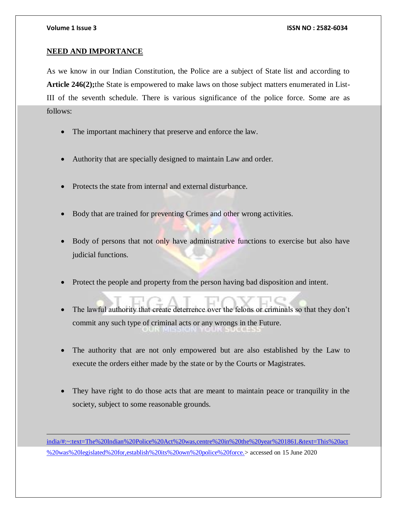$\overline{a}$ 

### **NEED AND IMPORTANCE**

As we know in our Indian Constitution, the Police are a subject of State list and according to **Article 246(2);**the State is empowered to make laws on those subject matters enumerated in List-III of the seventh schedule. There is various significance of the police force. Some are as follows:

- The important machinery that preserve and enforce the law.
- Authority that are specially designed to maintain Law and order.
- Protects the state from internal and external disturbance.
- Body that are trained for preventing Crimes and other wrong activities.
- Body of persons that not only have administrative functions to exercise but also have judicial functions.
- Protect the people and property from the person having bad disposition and intent.
- The lawful authority that create deterrence over the felons or criminals so that they don't commit any such type of criminal acts or any wrongs in the Future.
- The authority that are not only empowered but are also established by the Law to execute the orders either made by the state or by the Courts or Magistrates.
- They have right to do those acts that are meant to maintain peace or tranquility in the society, subject to some reasonable grounds.

[india/#:~:text=The%20Indian%20Police%20Act%20was,centre%20in%20the%20year%201861.&text=This%20act](https://blog.ipleaders.in/the-indian-police-act-and-police-reform-in-india/#:~:text=The%20Indian%20Police%20Act%20was,centre%20in%20the%20year%201861.&text=This%20act%20was%20legislated%20for,establish%20its%20own%20police%20force.) [%20was%20legislated%20for,establish%20its%20own%20police%20force.>](https://blog.ipleaders.in/the-indian-police-act-and-police-reform-in-india/#:~:text=The%20Indian%20Police%20Act%20was,centre%20in%20the%20year%201861.&text=This%20act%20was%20legislated%20for,establish%20its%20own%20police%20force.) accessed on 15 June 2020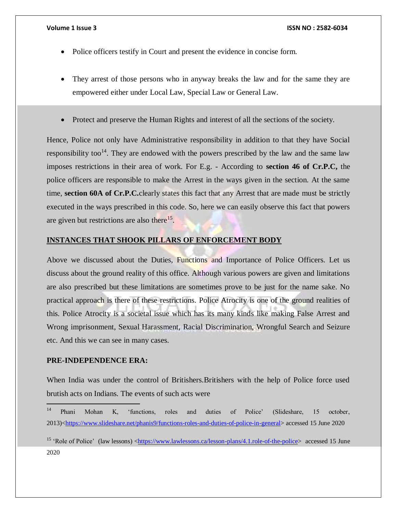- Police officers testify in Court and present the evidence in concise form.
- They arrest of those persons who in anyway breaks the law and for the same they are empowered either under Local Law, Special Law or General Law.
- Protect and preserve the Human Rights and interest of all the sections of the society.

Hence, Police not only have Administrative responsibility in addition to that they have Social responsibility too<sup>14</sup>. They are endowed with the powers prescribed by the law and the same law imposes restrictions in their area of work. For E.g. - According to **section 46 of Cr.P.C,** the police officers are responsible to make the Arrest in the ways given in the section. At the same time, **section 60A of Cr.P.C.**clearly states this fact that any Arrest that are made must be strictly executed in the ways prescribed in this code. So, here we can easily observe this fact that powers are given but restrictions are also there<sup>15</sup>.

### **INSTANCES THAT SHOOK PILLARS OF ENFORCEMENT BODY**

Above we discussed about the Duties, Functions and Importance of Police Officers. Let us discuss about the ground reality of this office. Although various powers are given and limitations are also prescribed but these limitations are sometimes prove to be just for the name sake. No practical approach is there of these restrictions. Police Atrocity is one of the ground realities of this. Police Atrocity is a societal issue which has its many kinds like making False Arrest and Wrong imprisonment, Sexual Harassment, Racial Discrimination, Wrongful Search and Seizure etc. And this we can see in many cases.

### **PRE-INDEPENDENCE ERA:**

When India was under the control of Britishers.Britishers with the help of Police force used brutish acts on Indians. The events of such acts were

 $14$ <sup>14</sup> Phani Mohan K, 'functions, roles and duties of Police' (Slideshare, 15 october, 2013)[<https://www.slideshare.net/phanis9/functions-roles-and-duties-of-police-in-general>](https://www.slideshare.net/phanis9/functions-roles-and-duties-of-police-in-general) accessed 15 June 2020

<sup>&</sup>lt;sup>15</sup> 'Role of Police' (law lessons)  $\langle \frac{https://www.lawlessons.ca/lesson-plans/4.1.role-of-the-police>accessed 15 June}$ 2020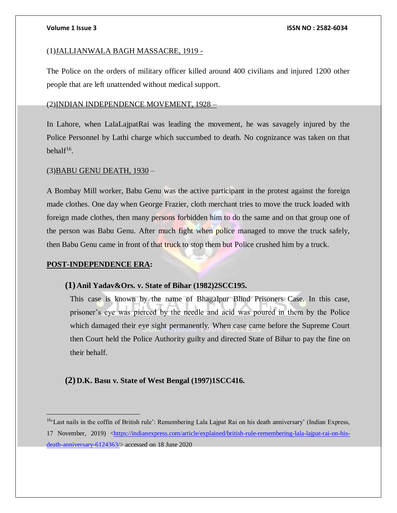#### (1)JALLIANWALA BAGH MASSACRE, 1919 -

The Police on the orders of military officer killed around 400 civilians and injured 1200 other people that are left unattended without medical support.

### (2)INDIAN INDEPENDENCE MOVEMENT, 1928 –

In Lahore, when LalaLajpatRai was leading the movement, he was savagely injured by the Police Personnel by Lathi charge which succumbed to death. No cognizance was taken on that behal $f^{16}$ .

### (3)BABU GENU DEATH, 1930 –

A Bombay Mill worker, Babu Genu was the active participant in the protest against the foreign made clothes. One day when George Frazier, cloth merchant tries to move the truck loaded with foreign made clothes, then many persons forbidden him to do the same and on that group one of the person was Babu Genu. After much fight when police managed to move the truck safely, then Babu Genu came in front of that truck to stop them but Police crushed him by a truck.

#### **POST-INDEPENDENCE ERA:**

 $\overline{a}$ 

#### **(1) Anil Yadav&Ors. v. State of Bihar (1982)2SCC195.**

This case is known by the name of Bhagalpur Blind Prisoners Case. In this case, prisoner's eye was pierced by the needle and acid was poured in them by the Police which damaged their eye sight permanently. When case came before the Supreme Court then Court held the Police Authority guilty and directed State of Bihar to pay the fine on their behalf.

#### **(2) D.K. Basu v. State of West Bengal (1997)1SCC416.**

<sup>&</sup>lt;sup>16</sup>'Last nails in the coffin of British rule': Remembering Lala Lajpat Rai on his death anniversary' (Indian Express,

<sup>17</sup> November, 2019) [<https://indianexpress.com/article/explained/british-rule-remembering-lala-lajpat-rai-on-his](https://indianexpress.com/article/explained/british-rule-remembering-lala-lajpat-rai-on-his-death-anniversary-6124363/)[death-anniversary-6124363/>](https://indianexpress.com/article/explained/british-rule-remembering-lala-lajpat-rai-on-his-death-anniversary-6124363/) accessed on 18 June 2020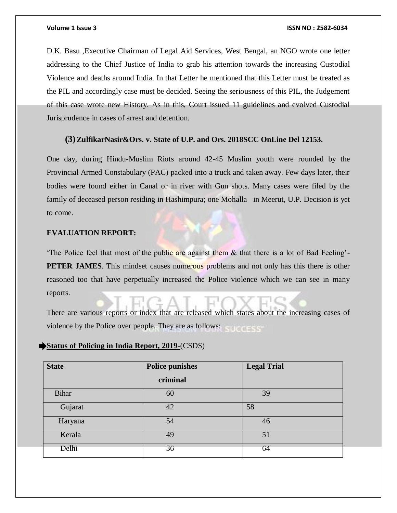D.K. Basu ,Executive Chairman of Legal Aid Services, West Bengal, an NGO wrote one letter addressing to the Chief Justice of India to grab his attention towards the increasing Custodial Violence and deaths around India. In that Letter he mentioned that this Letter must be treated as the PIL and accordingly case must be decided. Seeing the seriousness of this PIL, the Judgement of this case wrote new History. As in this, Court issued 11 guidelines and evolved Custodial Jurisprudence in cases of arrest and detention.

### **(3)ZulfikarNasir&Ors. v. State of U.P. and Ors. 2018SCC OnLine Del 12153.**

One day, during Hindu-Muslim Riots around 42-45 Muslim youth were rounded by the Provincial Armed Constabulary (PAC) packed into a truck and taken away. Few days later, their bodies were found either in Canal or in river with Gun shots. Many cases were filed by the family of deceased person residing in Hashimpura; one Mohalla in Meerut, U.P. Decision is yet to come.

### **EVALUATION REPORT:**

'The Police feel that most of the public are against them & that there is a lot of Bad Feeling'- **PETER JAMES**. This mindset causes numerous problems and not only has this there is other reasoned too that have perpetually increased the Police violence which we can see in many reports.

There are various reports or index that are released which states about the increasing cases of violence by the Police over people. They are as follows:

### **Status of Policing in India Report, 2019-**(CSDS)

| <b>State</b> | <b>Police punishes</b> | <b>Legal Trial</b> |
|--------------|------------------------|--------------------|
|              | criminal               |                    |
| <b>Bihar</b> | 60                     | 39                 |
| Gujarat      | 42                     | 58                 |
| Haryana      | 54                     | 46                 |
| Kerala       | 49                     | 51                 |
| Delhi        | 36                     | 64                 |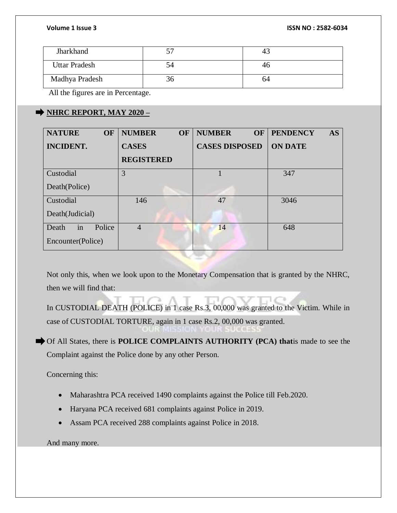| Jharkhand                                                |    |    |  |  |
|----------------------------------------------------------|----|----|--|--|
| <b>Uttar Pradesh</b>                                     | Э4 | 40 |  |  |
| Madhya Pradesh                                           | 30 | 64 |  |  |
| $\mathbf{A}$ and $\mathbf{A}$ and $\mathbf{A}$<br>$\sim$ |    |    |  |  |

All the figures are in Percentage.

# $\rightarrow$  **NHRC REPORT, MAY 2020** –

| <b>NATURE</b><br><b>OF</b> | <b>NUMBER</b><br><b>OF</b> | <b>NUMBER</b><br><b>OF</b> | <b>PENDENCY</b><br><b>AS</b> |
|----------------------------|----------------------------|----------------------------|------------------------------|
| <b>INCIDENT.</b>           | <b>CASES</b>               | <b>CASES DISPOSED</b>      | <b>ON DATE</b>               |
|                            | <b>REGISTERED</b>          |                            |                              |
| Custodial                  | 3                          |                            | 347                          |
| Death(Police)              |                            |                            |                              |
| Custodial                  | 146                        | 47                         | 3046                         |
| Death(Judicial)            |                            |                            |                              |
| in<br>Police<br>Death      | $\overline{4}$             | 14                         | 648                          |
| Encounter(Police)          |                            |                            |                              |

Not only this, when we look upon to the Monetary Compensation that is granted by the NHRC, then we will find that:

In CUSTODIAL DEATH (POLICE) in 1 case Rs.3, 00,000 was granted to the Victim. While in case of CUSTODIAL TORTURE, again in 1 case Rs.2, 00,000 was granted.

Of All States, there is **POLICE COMPLAINTS AUTHORITY (PCA) that**is made to see the Complaint against the Police done by any other Person.

Concerning this:

- Maharashtra PCA received 1490 complaints against the Police till Feb.2020.
- Haryana PCA received 681 complaints against Police in 2019.
- Assam PCA received 288 complaints against Police in 2018.

And many more.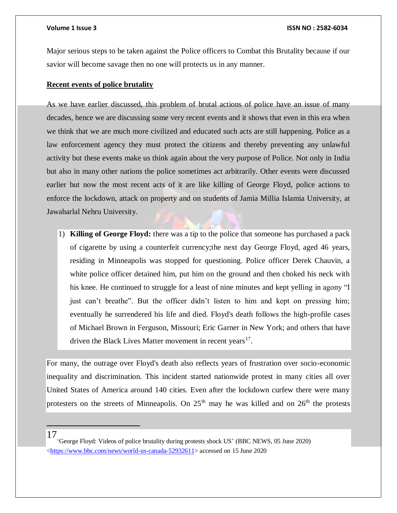Major serious steps to be taken against the Police officers to Combat this Brutality because if our savior will become savage then no one will protects us in any manner.

### **Recent events of police brutality**

As we have earlier discussed, this problem of brutal actions of police have an issue of many decades, hence we are discussing some very recent events and it shows that even in this era when we think that we are much more civilized and educated such acts are still happening. Police as a law enforcement agency they must protect the citizens and thereby preventing any unlawful activity but these events make us think again about the very purpose of Police. Not only in India but also in many other nations the police sometimes act arbitrarily. Other events were discussed earlier but now the most recent acts of it are like killing of George Floyd, police actions to enforce the lockdown, attack on property and on students of Jamia Millia Islamia University, at Jawaharlal Nehru University.

1) **Killing of George Floyd:** there was a tip to the police that someone has purchased a pack of cigarette by using a counterfeit currency;the next day George Floyd, aged 46 years, residing in Minneapolis was stopped for questioning. Police officer Derek Chauvin, a white police officer detained him, put him on the ground and then choked his neck with his knee. He continued to struggle for a least of nine minutes and kept yelling in agony "I just can't breathe". But the officer didn't listen to him and kept on pressing him; eventually he surrendered his life and died. Floyd's death follows the high-profile cases of Michael Brown in Ferguson, Missouri; Eric Garner in New York; and others that have driven the Black Lives Matter movement in recent years<sup>17</sup>.

For many, the outrage over Floyd's death also reflects years of frustration over socio-economic inequality and discrimination. This incident started nationwide protest in many cities all over United States of America around 140 cities. Even after the lockdown curfew there were many protesters on the streets of Minneapolis. On  $25<sup>th</sup>$  may he was killed and on  $26<sup>th</sup>$  the protests

### 17

George Floyd: Videos of police brutality during protests shock US' (BBC NEWS, 05 June 2020) [<https://www.bbc.com/news/world-us-canada-52932611>](https://www.bbc.com/news/world-us-canada-52932611) accessed on 15 June 2020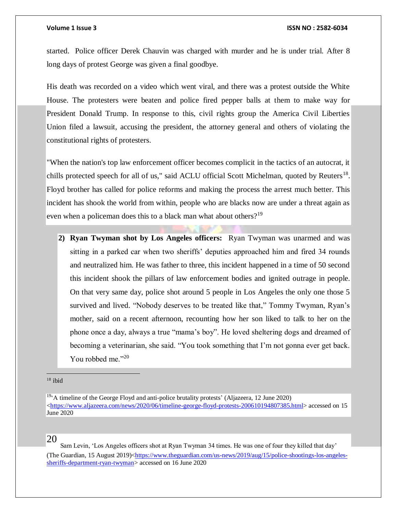started. Police officer Derek Chauvin was charged with murder and he is under trial. After 8 long days of protest George was given a final goodbye.

His death was recorded on a video which went viral, and there was a protest outside the White House. The protesters were beaten and police fired pepper balls at them to make way for President Donald Trump. In response to this, civil rights group the America Civil Liberties Union filed a lawsuit, accusing the president, the attorney general and others of violating the constitutional rights of protesters.

"When the nation's top law enforcement officer becomes complicit in the tactics of an autocrat, it chills protected speech for all of us," said ACLU official Scott Michelman, quoted by Reuters<sup>18</sup>. Floyd brother has called for police reforms and making the process the arrest much better. This incident has shook the world from within, people who are blacks now are under a threat again as even when a policeman does this to a black man what about others?<sup>19</sup>

**2) Ryan Twyman shot by Los Angeles officers:** Ryan Twyman was unarmed and was sitting in a parked car when two sheriffs' deputies approached him and fired 34 rounds and neutralized him. He was father to three, this incident happened in a time of 50 second this incident shook the pillars of law enforcement bodies and ignited outrage in people. On that very same day, police shot around 5 people in Los Angeles the only one those 5 survived and lived. "Nobody deserves to be treated like that," Tommy Twyman, Ryan's mother, said on a recent afternoon, recounting how her son liked to talk to her on the phone once a day, always a true "mama's boy". He loved sheltering dogs and dreamed of becoming a veterinarian, she said. "You took something that I'm not gonna ever get back. You robbed me."20

### 20

 Sam Levin, 'Los Angeles officers shot at Ryan Twyman 34 times. He was one of four they killed that day' (The Guardian, 15 August 2019)[<https://www.theguardian.com/us-news/2019/aug/15/police-shootings-los-angeles](https://www.theguardian.com/us-news/2019/aug/15/police-shootings-los-angeles-sheriffs-department-ryan-twyman)[sheriffs-department-ryan-twyman>](https://www.theguardian.com/us-news/2019/aug/15/police-shootings-los-angeles-sheriffs-department-ryan-twyman) accessed on 16 June 2020

 $18$  ibid

 $19.4$  timeline of the George Floyd and anti-police brutality protests' (Aljazeera, 12 June 2020) [<https://www.aljazeera.com/news/2020/06/timeline-george-floyd-protests-200610194807385.html>](https://www.aljazeera.com/news/2020/06/timeline-george-floyd-protests-200610194807385.html) accessed on 15 June 2020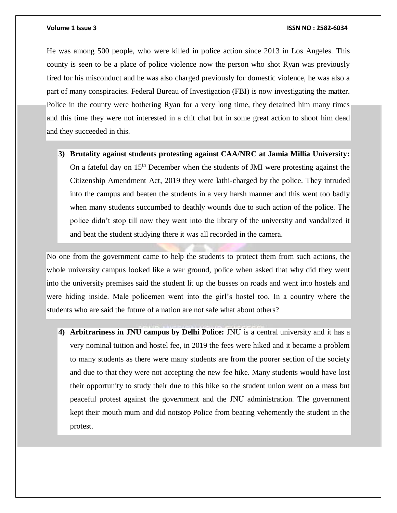$\overline{a}$ 

He was among 500 people, who were killed in police action since 2013 in Los Angeles. This county is seen to be a place of police violence now the person who shot Ryan was previously fired for his misconduct and he was also charged previously for domestic violence, he was also a part of many conspiracies. Federal Bureau of Investigation (FBI) is now investigating the matter. Police in the county were bothering Ryan for a very long time, they detained him many times and this time they were not interested in a chit chat but in some great action to shoot him dead and they succeeded in this.

**3) Brutality against students protesting against CAA/NRC at Jamia Millia University:**  On a fateful day on  $15<sup>th</sup>$  December when the students of JMI were protesting against the Citizenship Amendment Act, 2019 they were lathi-charged by the police. They intruded into the campus and beaten the students in a very harsh manner and this went too badly when many students succumbed to deathly wounds due to such action of the police. The police didn't stop till now they went into the library of the university and vandalized it and beat the student studying there it was all recorded in the camera.

No one from the government came to help the students to protect them from such actions, the whole university campus looked like a war ground, police when asked that why did they went into the university premises said the student lit up the busses on roads and went into hostels and were hiding inside. Male policemen went into the girl's hostel too. In a country where the students who are said the future of a nation are not safe what about others?

**4) Arbitrariness in JNU campus by Delhi Police:** JNU is a central university and it has a very nominal tuition and hostel fee, in 2019 the fees were hiked and it became a problem to many students as there were many students are from the poorer section of the society and due to that they were not accepting the new fee hike. Many students would have lost their opportunity to study their due to this hike so the student union went on a mass but peaceful protest against the government and the JNU administration. The government kept their mouth mum and did notstop Police from beating vehemently the student in the protest.